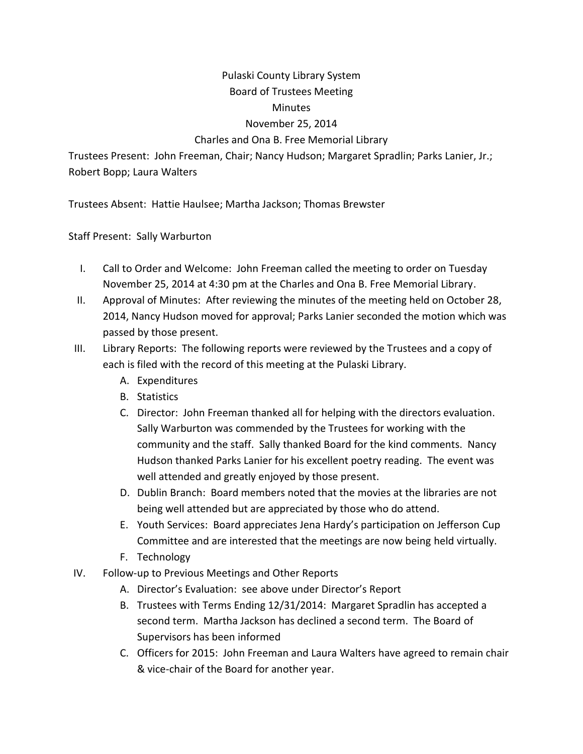## Pulaski County Library System Board of Trustees Meeting

## **Minutes**

## November 25, 2014

## Charles and Ona B. Free Memorial Library

Trustees Present: John Freeman, Chair; Nancy Hudson; Margaret Spradlin; Parks Lanier, Jr.; Robert Bopp; Laura Walters

Trustees Absent: Hattie Haulsee; Martha Jackson; Thomas Brewster

Staff Present: Sally Warburton

- I. Call to Order and Welcome: John Freeman called the meeting to order on Tuesday November 25, 2014 at 4:30 pm at the Charles and Ona B. Free Memorial Library.
- II. Approval of Minutes: After reviewing the minutes of the meeting held on October 28, 2014, Nancy Hudson moved for approval; Parks Lanier seconded the motion which was passed by those present.
- III. Library Reports: The following reports were reviewed by the Trustees and a copy of each is filed with the record of this meeting at the Pulaski Library.
	- A. Expenditures
	- B. Statistics
	- C. Director: John Freeman thanked all for helping with the directors evaluation. Sally Warburton was commended by the Trustees for working with the community and the staff. Sally thanked Board for the kind comments. Nancy Hudson thanked Parks Lanier for his excellent poetry reading. The event was well attended and greatly enjoyed by those present.
	- D. Dublin Branch: Board members noted that the movies at the libraries are not being well attended but are appreciated by those who do attend.
	- E. Youth Services: Board appreciates Jena Hardy's participation on Jefferson Cup Committee and are interested that the meetings are now being held virtually.
	- F. Technology
- IV. Follow-up to Previous Meetings and Other Reports
	- A. Director's Evaluation: see above under Director's Report
	- B. Trustees with Terms Ending 12/31/2014: Margaret Spradlin has accepted a second term. Martha Jackson has declined a second term. The Board of Supervisors has been informed
	- C. Officers for 2015: John Freeman and Laura Walters have agreed to remain chair & vice-chair of the Board for another year.